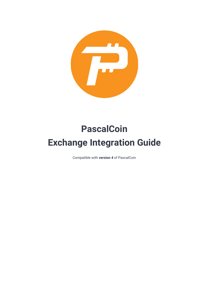

# **PascalCoin Exchange Integration Guide**

Compatible with **version 4** of PascalCoin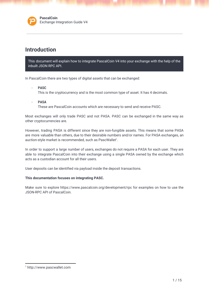

### **Introduction**

This document will explain how to integrate PascalCoin V4 into your exchange with the help of the inbuilt JSON RPC API.

In PascalCoin there are two types of digital assets that can be exchanged:

#### - **PASC**

This is the cryptocurrency and is the most common type of asset. It has 4 decimals.

- **PASA** These are PascalCoin accounts which are necessary to send and receive PASC.

Most exchanges will only trade PASC and not PASA. PASC can be exchanged in the same way as other cryptocurrencies are.

However, trading PASA is different since they are non-fungible assets. This means that some PASA are more valuable than others, due to their desirable numbers and/or names. For PASA exchanges, an auction-style market is recommended, such as PascWallet $^1$ .

In order to support a large number of users, exchanges do not require a PASA for each user. They are able to integrate PascalCoin into their exchange using a single PASA owned by the exchange which acts as a custodian account for all their users.

User deposits can be identified via payload inside the deposit transactions.

### **This documentation focuses on integrating PASC.**

Make sure to explore [https://www.pascalcoin.org/development/rpc](https://www.pascalcoin.org/development/rpc#setwalletpassword) for examples on how to use the JSON-RPC API of PascalCoin.

<sup>1</sup> [http://www.pascwallet.com](http://www.pascwallet.com/)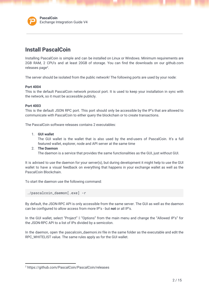

# **Install PascalCoin**

Installing PascalCoin is simple and can be installed on Linux or Windows. Minimum requirements are 2GB RAM, 2 CPU's and at least 20GB of storage. You can find the downloads on our github.com releases page<sup>2</sup>.

The server should be isolated from the public network! The following ports are used by your node:

#### **Port 4004**

This is the default PascalCoin network protocol port. It is used to keep your installation in sync with the network, so it must be accessible publicly.

#### **Port 4003**

This is the default JSON RPC port. This port should only be accessible by the IP's that are allowed to communicate with PascalCoin to either query the blockchain or to create transactions.

The PascalCoin software releases contains 2 executables:

#### 1. **GUI wallet**

The GUI wallet is the wallet that is also used by the end-users of PascalCoin. It's a full featured wallet, explorer, node and API server at the same time

#### 2. **The Daemon**

The daemon is a service that provides the same functionalities as the GUI, just without GUI.

It is advised to use the daemon for your server(s), but during development it might help to use the GUI wallet to have a visual feedback on everything that happens in your exchange wallet as well as the PascalCoin Blockchain.

To start the daemon use the following command:

./pascalcoin\_daemon[.exe] -r

By default, the JSON-RPC API is only accessible from the same server. The GUI as well as the daemon can be configured to allow access from more IP's - but **not** or all IP's.

In the GUI wallet, select "Project" I "Options" from the main menu and change the "Allowed IP's" for the JSON-RPC API to a list of IPs divided by a semicolon.

In the daemon, open the pascalcoin\_daemoni.ini file in the same folder as the executable and edit the RPC\_WHITELIST value. The same rules apply as for the GUI wallet.

<sup>2</sup> <https://github.com/PascalCoin/PascalCoin/releases>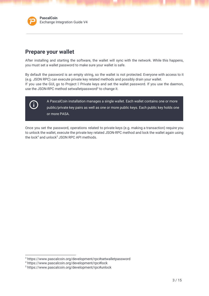

### **Prepare your wallet**

After installing and starting the software, the wallet will sync with the network. While this happens, you must set a wallet password to make sure your wallet is safe.

By default the password is an empty string, so the wallet is not protected. Everyone with access to it (e.g. JSON RPC) can execute private key related methods and possibly drain your wallet. If you use the GUI, go to Project  $\mathbb B$  Private keys and set the wallet password. If you use the daemon, use the JSON-RPC method setwalletpassword<sup>3</sup> to change it.

> A PascalCoin installation manages a single wallet. Each wallet contains one or more public/private key pairs as well as one or more public keys. Each public key holds one or more PASA.

Once you set the password, operations related to private keys (e.g. making a transaction) require you to unlock the wallet, execute the private key related JSON-RPC method and lock the wallet again using the lock<sup>4</sup> and unlock<sup>5</sup> JSON RPC API methods.

<sup>3</sup> <https://www.pascalcoin.org/development/rpc#setwalletpassword>

<sup>4</sup> <https://www.pascalcoin.org/development/rpc#lock>

<sup>5</sup> <https://www.pascalcoin.org/development/rpc#unlock>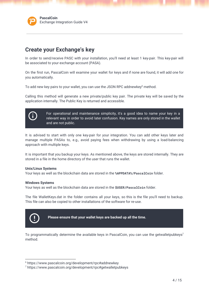

## **Create your Exchange's key**

In order to send/receive PASC with your installation, you'll need at least 1 key-pair. This key-pair will be associated to your exchange account (PASA).

On the first run, PascalCoin will examine your wallet for keys and if none are found, it will add one for you automatically.

To add new key pairs to your wallet, you can use the JSON RPC addnewkey<sup>6</sup> method.

Calling this method will generate a new private/public key pair. The private key will be saved by the application internally. The Public Key is returned and accessible.



For operational and maintenance simplicity, it's a good idea to name your key in a relevant way in order to avoid later confusion. Key names are only stored in the wallet and are not public.

It is advised to start with only one key-pair for your integration. You can add other keys later and manage multiple PASAs to, e.g., avoid paying fees when withdrawing by using a load-balancing approach with multiple keys.

It is important that you backup your keys. As mentioned above, the keys are stored internally. They are stored in a file in the home directory of the user that runs the wallet.

#### **Unix/Linux Systems**

Your keys as well as the blockchain data are stored in the **%APPDATA%/PascalCoin**folder.

#### **Windows Systems**

Your keys as well as the blockchain data are stored in the **\$USER/PascalCoin**folder.

The file WalletKeys.dat in the folder contains all your keys, so this is the file you'll need to backup. This file can also be copied to other installations of the software for re-use.



**Please ensure that your wallet keys are backed up all the time.**

To programmatically determine the available keys in PascalCoin, you can use the getwalletpubkeys<sup>7</sup> method.

<sup>6</sup> <https://www.pascalcoin.org/development/rpc#addnewkey>

<sup>7</sup> <https://www.pascalcoin.org/development/rpc#getwalletpubkeys>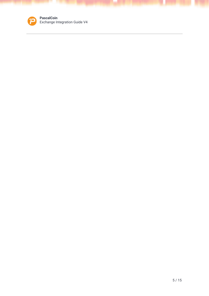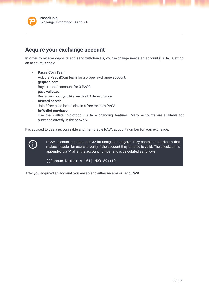

### **Acquire your exchange account**

In order to receive deposits and send withdrawals, your exchange needs an account (PASA). Getting an account is easy:

- **PascalCoin Team** Ask the PascalCoin team for a proper exchange account.
- **getpasa.com** Buy a random account for 3 PASC
- **pascwallet.com** Buy an account you like via this PASA exchange - **Discord server**
- Join #free-pasa-bot to obtain a free random PASA
- **In-Wallet purchase** Use the wallets in-protocol PASA exchanging features. Many accounts are available for purchase directly in the network.

It is advised to use a recognizable and memorable PASA account number for your exchange.

PASA account numbers are 32 bit unsigned integers. They contain a checksum that makes it easier for users to verify if the account they entered is valid. The checksum is appended via "-" after the account number and is calculated as follows:

((AccountNumber \* 101) MOD 89)+10

After you acquired an account, you are able to either receive or send PASC.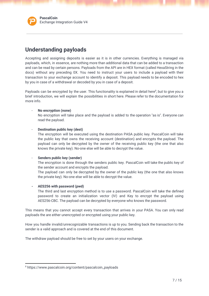**PascalCoin** Exchange Integration Guide V4

# **Understanding payloads**

Accepting and assigning deposits is easier as it is in other currencies. Everything is managed via payloads, which, in essence, are nothing more than additional data that can be added to a transaction and can be read by certain persons. Payloads from the API are in HEX format (called HexaString in the docs) without any preceding 0X. You need to instruct your users to include a payload with their transaction to your exchange account to identify a deposit. This payload needs to be encoded to hex by you in case of a withdrawal or decoded by you in case of a deposit.

Payloads can be encrypted by the user. This functionality is explained in detail here<sup>8</sup>, but to give you a brief introduction, we will explain the possibilities in short here. Please refer to the documentation for more info.

### - **No encryption (none)**

No encryption will take place and the payload is added to the operation "as is". Everyone can read the payload.

### - **Destination public key (dest)**

The encryption will be executed using the destination PASA public key. PascalCoin will take the public key that owns the receiving account (destination) and encrypts the payload. The payload can only be decrypted by the owner of the receiving public key (the one that also knows the private key). No-one else will be able to decrypt the value.

#### - **Senders public key (sender)**

The encryption is done through the senders public key. PascalCoin will take the public key of the sender account and encrypts the payload.

The payload can only be decrypted by the owner of the public key (the one that also knows the private key). No-one else will be able to decrypt the value.

### **- AES256 with password (pwd)**

The third and last encryption method is to use a password. PascalCoin will take the defined password to create an initialization vector (IV) and Key to encrypt the payload using AES256-CBC. The payload can be decrypted by everyone who knows the password.

This means that you cannot accept every transaction that arrives in your PASA. You can only read payloads the are either unencrypted or encrypted using your public key.

How you handle invalid/unrecognizable transactions is up to you. Sending back the transaction to the sender is a valid approach and is covered at the end of this document.

The withdraw payload should be free to set by your users on your exchange.

<sup>8</sup> [https://www.pascalcoin.org/content/pascalcoin\\_payloads](https://www.pascalcoin.org/content/pascalcoin_payloads)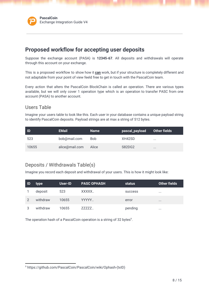

### **Proposed workflow for accepting user deposits**

Suppose the exchange account (PASA) is **12345-67**. All deposits and withdrawals will operate through this account on your exchange.

This is a proposed workflow to show how it **can** work, but if your structure is completely different and not adaptable from your point of view feeld free to get in touch with the PascalCoin team.

Every action that alters the PascalCoin BlockChain is called an operation. There are various types available, but we will only cover 1 operation type which is an operation to transfer PASC from one account (PASA) to another account.

### Users Table

Imagine your users table to look like this. Each user in your database contains a unique payload string to identify PascalCoin deposits. Payload strings are at max a string of 512 bytes.

| - ID  | <b>EMail</b>   | <b>Name</b> | pascal_payload | <b>Other fields</b> |
|-------|----------------|-------------|----------------|---------------------|
| 523   | bob@mail.com   | <b>Bob</b>  | XH42SD         | $\cdots$            |
| 10655 | alice@mail.com | Alice       | S82DG2         | $\cdots$            |

### Deposits / Withdrawals Table(s)

Imagine you record each deposit and withdrawal of your users. This is how it might look like:

| - ID          | type     | User-ID | <b>PASC OPHASH</b> | status         | <b>Other fields</b> |
|---------------|----------|---------|--------------------|----------------|---------------------|
|               | deposit  | 523     | XXXXX              | <b>SUCCESS</b> | $\cdots$            |
| $\mathcal{P}$ | withdraw | 10655   | YYYYY              | error          | $\cdots$            |
| 3             | withdraw | 10655   | 77777              | pending        | $\cdots$            |

The operation hash of a PascalCoin operation is a string of 32 bytes $^{\circ}$ .

<sup>9</sup> [https://github.com/PascalCoin/PascalCoin/wiki/Ophash-\(txID\)](https://github.com/PascalCoin/PascalCoin/wiki/Ophash-(txID))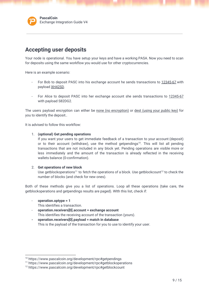

## **Accepting user deposits**

Your node is operational. You have setup your keys and have a working PASA. Now you need to scan for deposits using the same workflow you would use for other cryptocurrencies.

Here is an example scenario:

- For Bob to deposit PASC into his exchange account he sends transactions to 12345-67 with payload XH42SD.
- For Alice to deposit PASC into her exchange account she sends transactions to 12345-67 with payload S82DG2.

The users payload encryption can either be none (no encryption) or dest (using your public key) for you to identify the deposit..

It is advised to follow this workflow:

#### 1. **(optional) Get pending operations**

If you want your users to get immediate feedback of a transaction to your account (deposit) or to their account (withdraw), use the method getpendings<sup>10</sup>. This will list all pending transactions that are not included in any block yet. Pending operations are visible more or less immediately and the amount of the transaction is already reflected in the receiving wallets balance (0-confirmation).

#### 2. **Get operations of new block**

Use getblockoperations<sup>11</sup> to fetch the operations of a block. Use getblockcount<sup>12</sup> to check the number of blocks (and check for new ones).

Both of these methods give you a list of operations. Loop all these operations (take care, the getblockoperations and getpendings results are paged). WIth this list, check if:

- **operation.optype = 1**

This identifies a transaction.

- **operation.receivers[0].account = exchange account** This identifies the receiving account of the transaction (yours).
- **- operation.receivers[0].payload = match in database** This is the payload of the transaction for you to use to identify your user.

<sup>10</sup> <https://www.pascalcoin.org/development/rpc#getpendings>

<sup>11</sup> <https://www.pascalcoin.org/development/rpc#getblockoperations>

<sup>12</sup> <https://www.pascalcoin.org/development/rpc#getblockcount>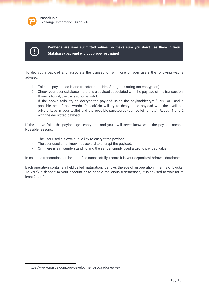

**Payloads are user submitted values, so make sure you don't use them in your (database) backend without proper escaping!**

To decrypt a payload and associate the transaction with one of your users the following way is advised:

- 1. Take the payload as is and transform the Hex-String to a string (no encryption)
- 2. Check your user database if there is a payload associated with the payload of the transaction. If one is found, the transaction is valid.
- 3. If the above fails, try to decrypt the payload using the payloaddecrypt<sup>13</sup> RPC API and a possible set of passwords. PascalCoin will try to decrypt the payload with the available private keys in your wallet and the possible passwords (can be left empty). Repeat 1 and 2 with the decrypted payload.

If the above fails, the payload got encrypted and you'll will never know what the payload means. Possible reasons:

- The user used his own public key to encrypt the payload.
- The user used an unknown password to encrypt the payload.
- Or.. there is a misunderstanding and the sender simply used a wrong payload value.

In case the transaction can be identified successfully, record it in your deposit/withdrawal database.

Each operation contains a field called maturation. It shows the age of an operation in terms of blocks. To verify a deposit to your account or to handle malicious transactions, it is advised to wait for at least 2 confirmations.

<sup>13</sup> <https://www.pascalcoin.org/development/rpc#addnewkey>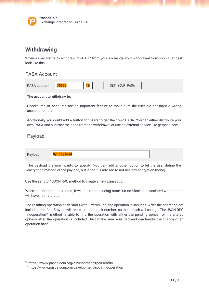

### **Withdrawing**

When a user wants to withdraw it's PASC from your exchange, your withdrawal form should (at best) look like this:

### PASA Account

| YOUR PASA<br>PASA account:<br>GE <sup>7</sup> |
|-----------------------------------------------|
|-----------------------------------------------|

### **The account to withdraw to.**

Checksums of accounts are an important feature to make sure the user did not input a wrong account number.

Additionally you could add a button for users to get their own PASA. You can either distribute your own PASA and subtract the price from the withdrawal or use an external service like getpasa.com.

### Payload

|  | Payload: |  |  |
|--|----------|--|--|
|--|----------|--|--|

The payload the user wants to specify. You can add another option to let the user define the encryption method of the payload, but if not it is advised to not use any encryption (none).

Use the sendto<sup>14</sup> JSON RPC method to create a new transaction.

When an operation is created, it will be in the pending state. So no block is associated with it and it will have no maturation.

The resulting operation hash starts with 8 zeros until the operation is included. After the operation got included, the first 8 bytes will represent the block number, so the ophash will change! The JSON-RPC findoperation<sup>15</sup> method is able to find the operation with either the pending ophash or the altered ophash after the operation is included. Just make sure your backend can handle the change of an operation hash.

<sup>14</sup> [https://www.pascalcoin.org/development/rpc#s](https://www.pascalcoin.org/development/rpc#getpendings)endto

<sup>15</sup> <https://www.pascalcoin.org/development/rpc#findoperation>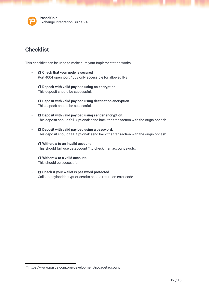

# **Checklist**

This checklist can be used to make sure your implementation works.

- ❐ **Check that your node is secured** Port 4004 open, port 4003 only accessible for allowed IPs
- ❐ **Deposit with valid payload using no encryption.** This deposit should be successful.
- ❐ **Deposit with valid payload using destination encryption.** This deposit should be successful.
- ❐ **Deposit with valid payload using sender encryption.** This deposit should fail. Optional: send back the transaction with the origin ophash.
- ❐ **Deposit with valid payload using a password.** This deposit should fail. Optional: send back the transaction with the origin ophash.
- ❐ **Withdraw to an invalid account.** This should fail, use getaccount<sup>16</sup> to check if an account exists.
- ❐ **Withdraw to a valid account.** This should be successful.
- ❐ **Check if your wallet is password protected.** Calls to payloaddecrypt or sendto should return an error code.

<sup>16</sup> <https://www.pascalcoin.org/development/rpc#getaccount>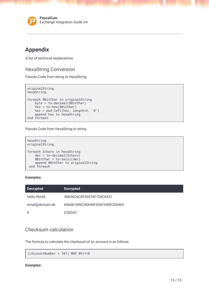

# **Appendix**

A list of technical explanations.

### HexaString Conversion

Pseudo Code from string to HexaString.

```
originalString
hexaString
foreach 8BitChar in originalString
    byte = to-decimal(8BitChar)
     hex = to-hex(8BitChar)
     hex = pad-left(hex, length=2, '0')
     append hex to hexaString
end foreach
```
Pseudo Code from HexaString to string.

```
hexaString
originalString
foreach 2chars in hexaString
   dec = to-decimal(2chars) 8BitChar = to-ascii(dec)
    append 8BitChar to originalString
  end foreach
```
### **Examples:**

| <b>Decrypted</b> | <b>Encrypted</b>               |
|------------------|--------------------------------|
| Hello World      | 48656C6C6F20576F726C6421       |
| email@domain.de  | 656d61696C40646F6D61696E2E6465 |
| €                | E282AC                         |

### Checksum calculation

The formula to calculate the checksum of an account is as follows:

```
((AccountNumber * 101) MOD 89)+10
```
#### **Examples:**